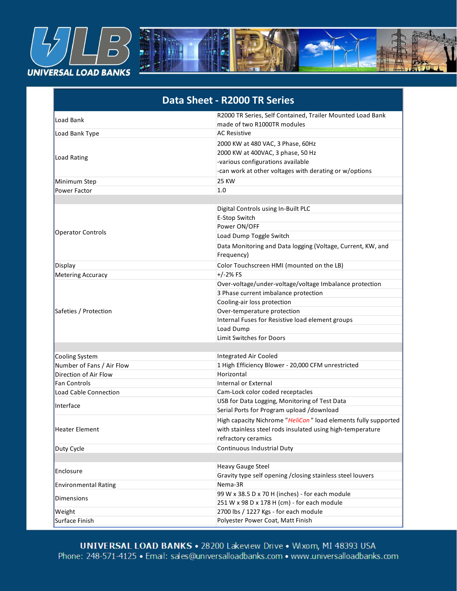

| Data Sheet - R2000 TR Series |                                                                                                                                                                                                                                                            |
|------------------------------|------------------------------------------------------------------------------------------------------------------------------------------------------------------------------------------------------------------------------------------------------------|
| Load Bank                    | R2000 TR Series, Self Contained, Trailer Mounted Load Bank<br>made of two R1000TR modules                                                                                                                                                                  |
| Load Bank Type               | <b>AC Resistive</b>                                                                                                                                                                                                                                        |
| Load Rating                  | 2000 KW at 480 VAC, 3 Phase, 60Hz<br>2000 KW at 400VAC, 3 phase, 50 Hz<br>-various configurations available<br>-can work at other voltages with derating or w/options                                                                                      |
| Minimum Step                 | <b>25 KW</b>                                                                                                                                                                                                                                               |
| Power Factor                 | 1.0                                                                                                                                                                                                                                                        |
|                              |                                                                                                                                                                                                                                                            |
| <b>Operator Controls</b>     | Digital Controls using In-Built PLC<br>E-Stop Switch<br>Power ON/OFF<br>Load Dump Toggle Switch<br>Data Monitoring and Data logging (Voltage, Current, KW, and                                                                                             |
|                              | Frequency)                                                                                                                                                                                                                                                 |
| Display                      | Color Touchscreen HMI (mounted on the LB)                                                                                                                                                                                                                  |
| Metering Accuracy            | $+/-2%$ FS                                                                                                                                                                                                                                                 |
| Safeties / Protection        | Over-voltage/under-voltage/voltage Imbalance protection<br>3 Phase current imbalance protection<br>Cooling-air loss protection<br>Over-temperature protection<br>Internal Fuses for Resistive load element groups<br>Load Dump<br>Limit Switches for Doors |
| <b>Cooling System</b>        | <b>Integrated Air Cooled</b>                                                                                                                                                                                                                               |
| Number of Fans / Air Flow    | 1 High Efficiency Blower - 20,000 CFM unrestricted                                                                                                                                                                                                         |
| Direction of Air Flow        | Horizontal                                                                                                                                                                                                                                                 |
| <b>Fan Controls</b>          | <b>Internal or External</b>                                                                                                                                                                                                                                |
| Load Cable Connection        | Cam-Lock color coded receptacles                                                                                                                                                                                                                           |
| Interface                    | USB for Data Logging, Monitoring of Test Data<br>Serial Ports for Program upload /download                                                                                                                                                                 |
| Heater Element               | High capacity Nichrome "HeliCon" load elements fully supported<br>with stainless steel rods insulated using high-temperature<br>refractory ceramics                                                                                                        |
| Duty Cycle                   | Continuous Industrial Duty                                                                                                                                                                                                                                 |
| Enclosure                    | <b>Heavy Gauge Steel</b><br>Gravity type self opening / closing stainless steel louvers                                                                                                                                                                    |
| <b>Environmental Rating</b>  | Nema-3R                                                                                                                                                                                                                                                    |
| <b>Dimensions</b>            | 99 W x 38.5 D x 70 H (inches) - for each module<br>251 W x 98 D x 178 H (cm) - for each module                                                                                                                                                             |
| Weight                       | 2700 lbs / 1227 Kgs - for each module                                                                                                                                                                                                                      |
| Surface Finish               | Polyester Power Coat, Matt Finish                                                                                                                                                                                                                          |

**Transportation Provision Provision** Phone: 4 ou Lakeview Drive ● wixom, MI 48 'salloadbar

RAL 7042

Color